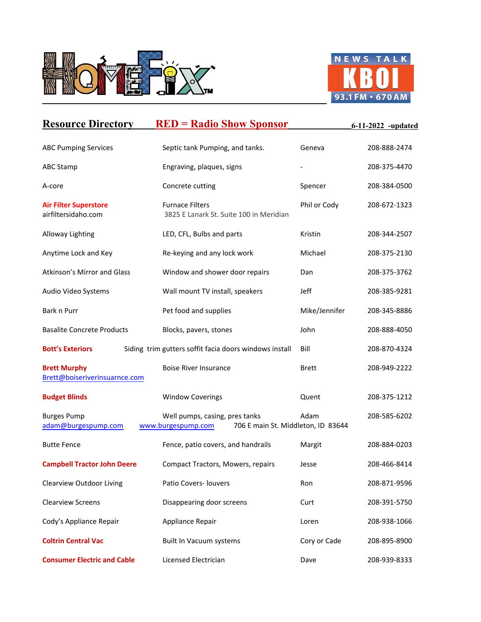



| <b>Resource Directory</b>                            | <b>RED = Radio Show Sponsor</b>                                                            |               | $-6 - 11 - 2022$ -updated |
|------------------------------------------------------|--------------------------------------------------------------------------------------------|---------------|---------------------------|
| <b>ABC Pumping Services</b>                          | Septic tank Pumping, and tanks.                                                            | Geneva        | 208-888-2474              |
| <b>ABC Stamp</b>                                     | Engraving, plaques, signs                                                                  |               | 208-375-4470              |
| A-core                                               | Concrete cutting                                                                           | Spencer       | 208-384-0500              |
| <b>Air Filter Superstore</b><br>airfiltersidaho.com  | <b>Furnace Filters</b><br>3825 E Lanark St. Suite 100 in Meridian                          | Phil or Cody  | 208-672-1323              |
| Alloway Lighting                                     | LED, CFL, Bulbs and parts                                                                  | Kristin       | 208-344-2507              |
| Anytime Lock and Key                                 | Re-keying and any lock work                                                                | Michael       | 208-375-2130              |
| Atkinson's Mirror and Glass                          | Window and shower door repairs                                                             | Dan           | 208-375-3762              |
| Audio Video Systems                                  | Wall mount TV install, speakers                                                            | Jeff          | 208-385-9281              |
| Bark n Purr                                          | Pet food and supplies                                                                      | Mike/Jennifer | 208-345-8886              |
| <b>Basalite Concrete Products</b>                    | Blocks, pavers, stones                                                                     | John          | 208-888-4050              |
| <b>Bott's Exteriors</b>                              | Siding trim gutters soffit facia doors windows install                                     | Bill          | 208-870-4324              |
| <b>Brett Murphy</b><br>Brett@boiseriverinsuarnce.com | <b>Boise River Insurance</b>                                                               | <b>Brett</b>  | 208-949-2222              |
| <b>Budget Blinds</b>                                 | <b>Window Coverings</b>                                                                    | Quent         | 208-375-1212              |
| <b>Burges Pump</b><br>adam@burgespump.com            | Well pumps, casing, pres tanks<br>www.burgespump.com<br>706 E main St. Middleton, ID 83644 | Adam          | 208-585-6202              |
| <b>Butte Fence</b>                                   | Fence, patio covers, and handrails                                                         | Margit        | 208-884-0203              |
| <b>Campbell Tractor John Deere</b>                   | Compact Tractors, Mowers, repairs                                                          | Jesse         | 208-466-8414              |
| <b>Clearview Outdoor Living</b>                      | Patio Covers- louvers                                                                      | Ron           | 208-871-9596              |
| <b>Clearview Screens</b>                             | Disappearing door screens                                                                  | Curt          | 208-391-5750              |
| Cody's Appliance Repair                              | Appliance Repair                                                                           | Loren         | 208-938-1066              |
| <b>Coltrin Central Vac</b>                           | Built In Vacuum systems                                                                    | Cory or Cade  | 208-895-8900              |
| <b>Consumer Electric and Cable</b>                   | Licensed Electrician                                                                       | Dave          | 208-939-8333              |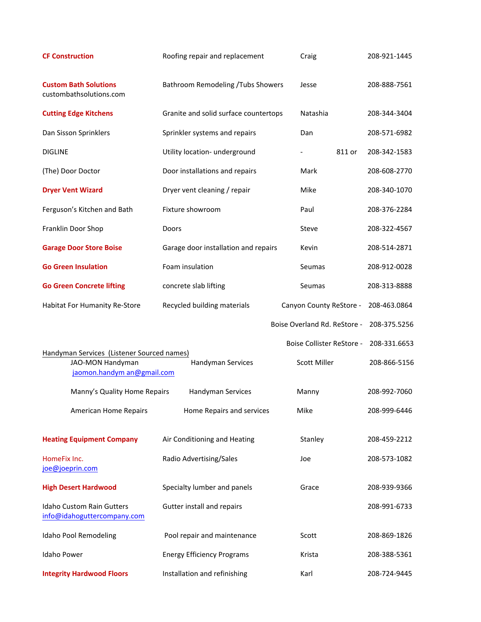| <b>CF Construction</b>                                                                       | Roofing repair and replacement        | Craig                        | 208-921-1445 |
|----------------------------------------------------------------------------------------------|---------------------------------------|------------------------------|--------------|
| <b>Custom Bath Solutions</b><br>custombathsolutions.com                                      | Bathroom Remodeling /Tubs Showers     | Jesse                        | 208-888-7561 |
| <b>Cutting Edge Kitchens</b>                                                                 | Granite and solid surface countertops | Natashia                     | 208-344-3404 |
| Dan Sisson Sprinklers                                                                        | Sprinkler systems and repairs         | Dan                          | 208-571-6982 |
| <b>DIGLINE</b>                                                                               | Utility location- underground         | 811 or                       | 208-342-1583 |
| (The) Door Doctor                                                                            | Door installations and repairs        | Mark                         | 208-608-2770 |
| <b>Dryer Vent Wizard</b>                                                                     | Dryer vent cleaning / repair          | Mike                         | 208-340-1070 |
| Ferguson's Kitchen and Bath                                                                  | Fixture showroom                      | Paul                         | 208-376-2284 |
| Franklin Door Shop                                                                           | Doors                                 | Steve                        | 208-322-4567 |
| <b>Garage Door Store Boise</b>                                                               | Garage door installation and repairs  | Kevin                        | 208-514-2871 |
| <b>Go Green Insulation</b>                                                                   | Foam insulation                       | Seumas                       | 208-912-0028 |
| <b>Go Green Concrete lifting</b>                                                             | concrete slab lifting                 | Seumas                       | 208-313-8888 |
| Habitat For Humanity Re-Store                                                                | Recycled building materials           | Canyon County ReStore -      | 208-463.0864 |
|                                                                                              |                                       | Boise Overland Rd. ReStore - | 208-375.5256 |
|                                                                                              |                                       | Boise Collister ReStore -    | 208-331.6653 |
| Handyman Services (Listener Sourced names)<br>JAO-MON Handyman<br>jaomon.handym an@gmail.com | Handyman Services                     | Scott Miller                 | 208-866-5156 |
| Manny's Quality Home Repairs                                                                 | Handyman Services                     | Manny                        | 208-992-7060 |
| American Home Repairs                                                                        | Home Repairs and services             | Mike                         | 208-999-6446 |
| <b>Heating Equipment Company</b>                                                             | Air Conditioning and Heating          | Stanley                      | 208-459-2212 |
| HomeFix Inc.<br>joe@joeprin.com                                                              | Radio Advertising/Sales               | Joe                          | 208-573-1082 |
| <b>High Desert Hardwood</b>                                                                  | Specialty lumber and panels           | Grace                        | 208-939-9366 |
| <b>Idaho Custom Rain Gutters</b><br>info@idahoguttercompany.com                              | Gutter install and repairs            |                              | 208-991-6733 |
| Idaho Pool Remodeling                                                                        | Pool repair and maintenance           | Scott                        | 208-869-1826 |
| Idaho Power                                                                                  | <b>Energy Efficiency Programs</b>     | Krista                       | 208-388-5361 |
| <b>Integrity Hardwood Floors</b>                                                             | Installation and refinishing          | Karl                         | 208-724-9445 |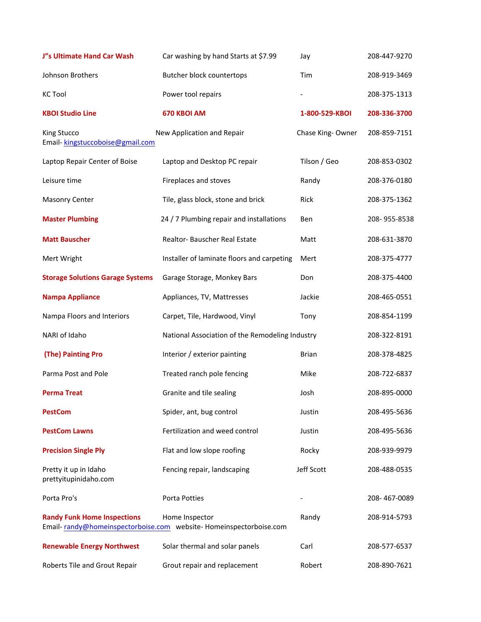| J"s Ultimate Hand Car Wash                     | Car washing by hand Starts at \$7.99                                                | Jay              | 208-447-9270 |
|------------------------------------------------|-------------------------------------------------------------------------------------|------------------|--------------|
| Johnson Brothers                               | Butcher block countertops                                                           | Tim              | 208-919-3469 |
| <b>KC Tool</b>                                 | Power tool repairs                                                                  |                  | 208-375-1313 |
| <b>KBOI Studio Line</b>                        | 670 KBOI AM                                                                         | 1-800-529-KBOI   | 208-336-3700 |
| King Stucco<br>Email-kingstuccoboise@gmail.com | New Application and Repair                                                          | Chase King-Owner | 208-859-7151 |
| Laptop Repair Center of Boise                  | Laptop and Desktop PC repair                                                        | Tilson / Geo     | 208-853-0302 |
| Leisure time                                   | Fireplaces and stoves                                                               | Randy            | 208-376-0180 |
| <b>Masonry Center</b>                          | Tile, glass block, stone and brick                                                  | Rick             | 208-375-1362 |
| <b>Master Plumbing</b>                         | 24 / 7 Plumbing repair and installations                                            | Ben              | 208-955-8538 |
| <b>Matt Bauscher</b>                           | Realtor-Bauscher Real Estate                                                        | Matt             | 208-631-3870 |
| Mert Wright                                    | Installer of laminate floors and carpeting                                          | Mert             | 208-375-4777 |
| <b>Storage Solutions Garage Systems</b>        | Garage Storage, Monkey Bars                                                         | Don              | 208-375-4400 |
| <b>Nampa Appliance</b>                         | Appliances, TV, Mattresses                                                          | Jackie           | 208-465-0551 |
| Nampa Floors and Interiors                     | Carpet, Tile, Hardwood, Vinyl                                                       | Tony             | 208-854-1199 |
| NARI of Idaho                                  | National Association of the Remodeling Industry                                     |                  | 208-322-8191 |
| (The) Painting Pro                             | Interior / exterior painting                                                        | Brian            | 208-378-4825 |
| Parma Post and Pole                            | Treated ranch pole fencing                                                          | Mike             | 208-722-6837 |
| <b>Perma Treat</b>                             | Granite and tile sealing                                                            | Josh             | 208-895-0000 |
| <b>PestCom</b>                                 | Spider, ant, bug control                                                            | Justin           | 208-495-5636 |
| <b>PestCom Lawns</b>                           | Fertilization and weed control                                                      | Justin           | 208-495-5636 |
| <b>Precision Single Ply</b>                    | Flat and low slope roofing                                                          | Rocky            | 208-939-9979 |
| Pretty it up in Idaho<br>prettyitupinidaho.com | Fencing repair, landscaping                                                         | Jeff Scott       | 208-488-0535 |
| Porta Pro's                                    | Porta Potties                                                                       |                  | 208-467-0089 |
| <b>Randy Funk Home Inspections</b>             | Home Inspector<br>Email-randy@homeinspectorboise.com website-Homeinspectorboise.com | Randy            | 208-914-5793 |
| <b>Renewable Energy Northwest</b>              | Solar thermal and solar panels                                                      | Carl             | 208-577-6537 |
| Roberts Tile and Grout Repair                  | Grout repair and replacement                                                        | Robert           | 208-890-7621 |